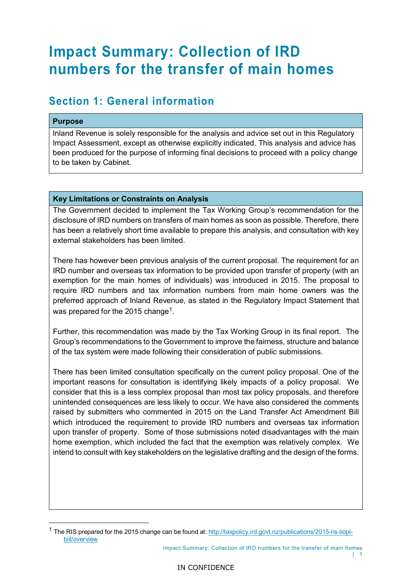# **Impact Summary: Collection of IRD numbers for the transfer of main homes**

### **Section 1: General information**

#### **Purpose**

Inland Revenue is solely responsible for the analysis and advice set out in this Regulatory Impact Assessment, except as otherwise explicitly indicated. This analysis and advice has been produced for the purpose of informing final decisions to proceed with a policy change to be taken by Cabinet.

#### **Key Limitations or Constraints on Analysis**

The Government decided to implement the Tax Working Group's recommendation for the disclosure of IRD numbers on transfers of main homes as soon as possible. Therefore, there has been a relatively short time available to prepare this analysis, and consultation with key external stakeholders has been limited.

There has however been previous analysis of the current proposal. The requirement for an IRD number and overseas tax information to be provided upon transfer of property (with an exemption for the main homes of individuals) was introduced in 2015. The proposal to require IRD numbers and tax information numbers from main home owners was the preferred approach of Inland Revenue, as stated in the Regulatory Impact Statement that was prepared for the 2015 change<sup>1</sup>.

Further, this recommendation was made by the Tax Working Group in its final report. The Group's recommendations to the Government to improve the fairness, structure and balance of the tax system were made following their consideration of public submissions.

There has been limited consultation specifically on the current policy proposal. One of the important reasons for consultation is identifying likely impacts of a policy proposal. We consider that this is a less complex proposal than most tax policy proposals, and therefore unintended consequences are less likely to occur. We have also considered the comments raised by submitters who commented in 2015 on the Land Transfer Act Amendment Bill which introduced the requirement to provide IRD numbers and overseas tax information upon transfer of property. Some of those submissions noted disadvantages with the main home exemption, which included the fact that the exemption was relatively complex. We intend to consult with key stakeholders on the legislative drafting and the design of the forms.

Impact Summary: Collection of IRD numbers for the transfer of main homes

<span id="page-0-0"></span><sup>&</sup>lt;sup>1</sup> The RIS prepared for the 2015 change can be found at[: http://taxpolicy.ird.govt.nz/publications/2015-ris-liopi](http://taxpolicy.ird.govt.nz/publications/2015-ris-liopi-bill/overview)[bill/overview](http://taxpolicy.ird.govt.nz/publications/2015-ris-liopi-bill/overview)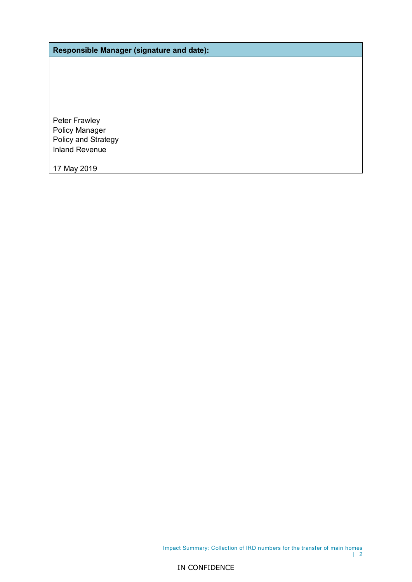**Responsible Manager (signature and date):**

Peter Frawley Policy Manager Policy and Strategy Inland Revenue

17 May 2019

Impact Summary: Collection of IRD numbers for the transfer of main homes | 2

IN CONFIDENCE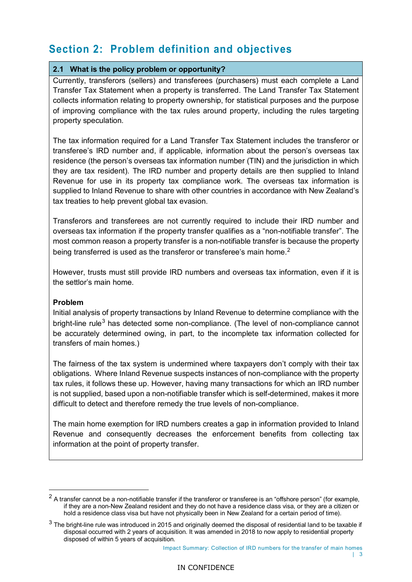# **Section 2: Problem definition and objectives**

#### **2.1 What is the policy problem or opportunity?**

Currently, transferors (sellers) and transferees (purchasers) must each complete a Land Transfer Tax Statement when a property is transferred. The Land Transfer Tax Statement collects information relating to property ownership, for statistical purposes and the purpose of improving compliance with the tax rules around property, including the rules targeting property speculation.

The tax information required for a Land Transfer Tax Statement includes the transferor or transferee's IRD number and, if applicable, information about the person's overseas tax residence (the person's overseas tax information number (TIN) and the jurisdiction in which they are tax resident). The IRD number and property details are then supplied to Inland Revenue for use in its property tax compliance work. The overseas tax information is supplied to Inland Revenue to share with other countries in accordance with New Zealand's tax treaties to help prevent global tax evasion.

Transferors and transferees are not currently required to include their IRD number and overseas tax information if the property transfer qualifies as a "non-notifiable transfer". The most common reason a property transfer is a non-notifiable transfer is because the property being transferred is used as the transferor or transferee's main home.<sup>[2](#page-2-0)</sup>

However, trusts must still provide IRD numbers and overseas tax information, even if it is the settlor's main home.

#### **Problem**

Initial analysis of property transactions by Inland Revenue to determine compliance with the bright-line rule<sup>[3](#page-2-1)</sup> has detected some non-compliance. (The level of non-compliance cannot be accurately determined owing, in part, to the incomplete tax information collected for transfers of main homes.)

The fairness of the tax system is undermined where taxpayers don't comply with their tax obligations. Where Inland Revenue suspects instances of non-compliance with the property tax rules, it follows these up. However, having many transactions for which an IRD number is not supplied, based upon a non-notifiable transfer which is self-determined, makes it more difficult to detect and therefore remedy the true levels of non-compliance.

The main home exemption for IRD numbers creates a gap in information provided to Inland Revenue and consequently decreases the enforcement benefits from collecting tax information at the point of property transfer.

<span id="page-2-0"></span> $2$  A transfer cannot be a non-notifiable transfer if the transferor or transferee is an "offshore person" (for example, if they are a non-New Zealand resident and they do not have a residence class visa, or they are a citizen or hold a residence class visa but have not physically been in New Zealand for a certain period of time).

<span id="page-2-1"></span> $3$  The bright-line rule was introduced in 2015 and originally deemed the disposal of residential land to be taxable if disposal occurred with 2 years of acquisition. It was amended in 2018 to now apply to residential property disposed of within 5 years of acquisition.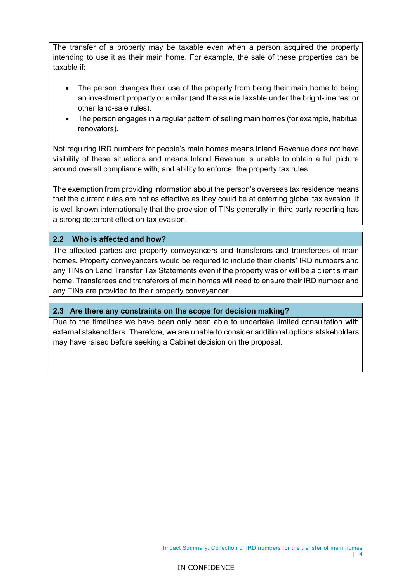The transfer of a property may be taxable even when a person acquired the property intending to use it as their main home. For example, the sale of these properties can be taxable if:

- The person changes their use of the property from being their main home to being an investment property or similar (and the sale is taxable under the bright-line test or other land-sale rules).
- The person engages in a regular pattern of selling main homes (for example, habitual renovators).

Not requiring IRD numbers for people's main homes means Inland Revenue does not have visibility of these situations and means Inland Revenue is unable to obtain a full picture around overall compliance with, and ability to enforce, the property tax rules.

The exemption from providing information about the person's overseas tax residence means that the current rules are not as effective as they could be at deterring global tax evasion. It is well known internationally that the provision of TINs generally in third party reporting has a strong deterrent effect on tax evasion.

#### **2.2 Who is affected and how?**

The affected parties are property conveyancers and transferors and transferees of main homes. Property conveyancers would be required to include their clients' IRD numbers and any TINs on Land Transfer Tax Statements even if the property was or will be a client's main home. Transferees and transferors of main homes will need to ensure their IRD number and any TINs are provided to their property conveyancer.

#### **2.3 Are there any constraints on the scope for decision making?**

Due to the timelines we have been only been able to undertake limited consultation with external stakeholders. Therefore, we are unable to consider additional options stakeholders may have raised before seeking a Cabinet decision on the proposal.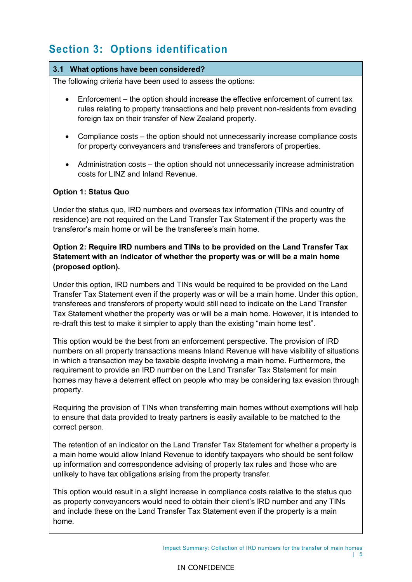# **Section 3: Options identification**

#### **3.1 What options have been considered?**

The following criteria have been used to assess the options:

- Enforcement the option should increase the effective enforcement of current tax rules relating to property transactions and help prevent non-residents from evading foreign tax on their transfer of New Zealand property.
- Compliance costs the option should not unnecessarily increase compliance costs for property conveyancers and transferees and transferors of properties.
- Administration costs the option should not unnecessarily increase administration costs for LINZ and Inland Revenue.

#### **Option 1: Status Quo**

Under the status quo, IRD numbers and overseas tax information (TINs and country of residence) are not required on the Land Transfer Tax Statement if the property was the transferor's main home or will be the transferee's main home.

#### **Option 2: Require IRD numbers and TINs to be provided on the Land Transfer Tax Statement with an indicator of whether the property was or will be a main home (proposed option).**

Under this option, IRD numbers and TINs would be required to be provided on the Land Transfer Tax Statement even if the property was or will be a main home. Under this option, transferees and transferors of property would still need to indicate on the Land Transfer Tax Statement whether the property was or will be a main home. However, it is intended to re-draft this test to make it simpler to apply than the existing "main home test".

This option would be the best from an enforcement perspective. The provision of IRD numbers on all property transactions means Inland Revenue will have visibility of situations in which a transaction may be taxable despite involving a main home. Furthermore, the requirement to provide an IRD number on the Land Transfer Tax Statement for main homes may have a deterrent effect on people who may be considering tax evasion through property.

Requiring the provision of TINs when transferring main homes without exemptions will help to ensure that data provided to treaty partners is easily available to be matched to the correct person.

The retention of an indicator on the Land Transfer Tax Statement for whether a property is a main home would allow Inland Revenue to identify taxpayers who should be sent follow up information and correspondence advising of property tax rules and those who are unlikely to have tax obligations arising from the property transfer.

This option would result in a slight increase in compliance costs relative to the status quo as property conveyancers would need to obtain their client's IRD number and any TINs and include these on the Land Transfer Tax Statement even if the property is a main home.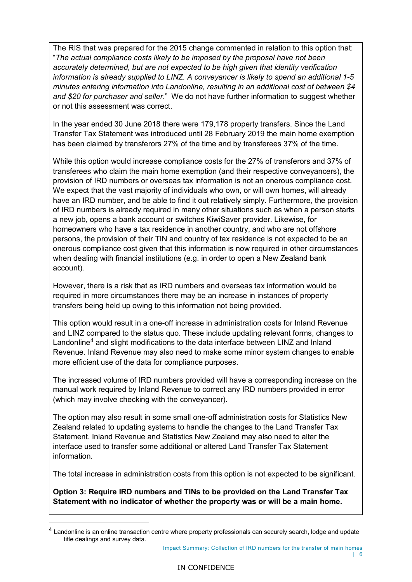The RIS that was prepared for the 2015 change commented in relation to this option that: "*The actual compliance costs likely to be imposed by the proposal have not been accurately determined, but are not expected to be high given that identity verification information is already supplied to LINZ. A conveyancer is likely to spend an additional 1-5 minutes entering information into Landonline, resulting in an additional cost of between \$4 and \$20 for purchaser and seller*." We do not have further information to suggest whether or not this assessment was correct.

In the year ended 30 June 2018 there were 179,178 property transfers. Since the Land Transfer Tax Statement was introduced until 28 February 2019 the main home exemption has been claimed by transferors 27% of the time and by transferees 37% of the time.

While this option would increase compliance costs for the 27% of transferors and 37% of transferees who claim the main home exemption (and their respective conveyancers), the provision of IRD numbers or overseas tax information is not an onerous compliance cost. We expect that the vast majority of individuals who own, or will own homes, will already have an IRD number, and be able to find it out relatively simply. Furthermore, the provision of IRD numbers is already required in many other situations such as when a person starts a new job, opens a bank account or switches KiwiSaver provider. Likewise, for homeowners who have a tax residence in another country, and who are not offshore persons, the provision of their TIN and country of tax residence is not expected to be an onerous compliance cost given that this information is now required in other circumstances when dealing with financial institutions (e.g. in order to open a New Zealand bank account).

However, there is a risk that as IRD numbers and overseas tax information would be required in more circumstances there may be an increase in instances of property transfers being held up owing to this information not being provided.

This option would result in a one-off increase in administration costs for Inland Revenue and LINZ compared to the status quo. These include updating relevant forms, changes to Landonline<sup>[4](#page-5-0)</sup> and slight modifications to the data interface between LINZ and Inland Revenue. Inland Revenue may also need to make some minor system changes to enable more efficient use of the data for compliance purposes.

The increased volume of IRD numbers provided will have a corresponding increase on the manual work required by Inland Revenue to correct any IRD numbers provided in error (which may involve checking with the conveyancer).

The option may also result in some small one-off administration costs for Statistics New Zealand related to updating systems to handle the changes to the Land Transfer Tax Statement. Inland Revenue and Statistics New Zealand may also need to alter the interface used to transfer some additional or altered Land Transfer Tax Statement information.

The total increase in administration costs from this option is not expected to be significant.

**Option 3: Require IRD numbers and TINs to be provided on the Land Transfer Tax Statement with no indicator of whether the property was or will be a main home.**

Impact Summary: Collection of IRD numbers for the transfer of main homes

<span id="page-5-0"></span> $^4$  Landonline is an online transaction centre where property professionals can securely search, lodge and update title dealings and survey data.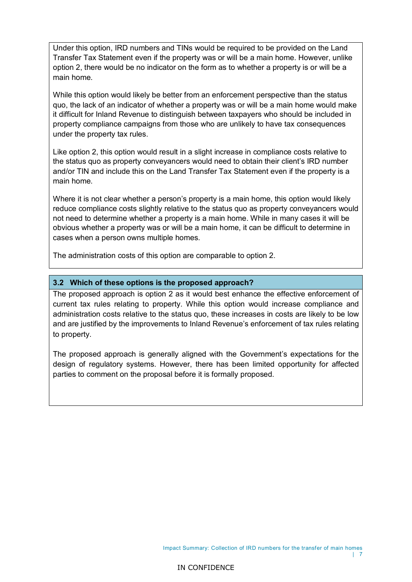Under this option, IRD numbers and TINs would be required to be provided on the Land Transfer Tax Statement even if the property was or will be a main home. However, unlike option 2, there would be no indicator on the form as to whether a property is or will be a main home.

While this option would likely be better from an enforcement perspective than the status quo, the lack of an indicator of whether a property was or will be a main home would make it difficult for Inland Revenue to distinguish between taxpayers who should be included in property compliance campaigns from those who are unlikely to have tax consequences under the property tax rules.

Like option 2, this option would result in a slight increase in compliance costs relative to the status quo as property conveyancers would need to obtain their client's IRD number and/or TIN and include this on the Land Transfer Tax Statement even if the property is a main home.

Where it is not clear whether a person's property is a main home, this option would likely reduce compliance costs slightly relative to the status quo as property conveyancers would not need to determine whether a property is a main home. While in many cases it will be obvious whether a property was or will be a main home, it can be difficult to determine in cases when a person owns multiple homes.

The administration costs of this option are comparable to option 2.

#### **3.2 Which of these options is the proposed approach?**

The proposed approach is option 2 as it would best enhance the effective enforcement of current tax rules relating to property. While this option would increase compliance and administration costs relative to the status quo, these increases in costs are likely to be low and are justified by the improvements to Inland Revenue's enforcement of tax rules relating to property.

The proposed approach is generally aligned with the Government's expectations for the design of regulatory systems. However, there has been limited opportunity for affected parties to comment on the proposal before it is formally proposed.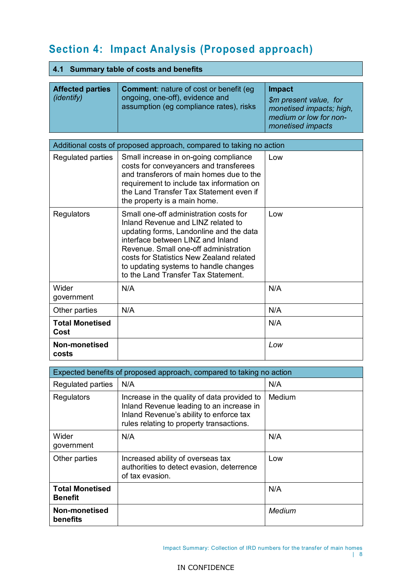# **Section 4: Impact Analysis (Proposed approach)**

|  | 4.1 Summary table of costs and benefits |  |  |  |  |
|--|-----------------------------------------|--|--|--|--|
|--|-----------------------------------------|--|--|--|--|

| <b>Affected parties</b><br><i>(identify)</i> | <b>Comment:</b> nature of cost or benefit (eg)<br>ongoing, one-off), evidence and<br>assumption (eg compliance rates), risks | <b>Impact</b><br>\$m present value, for<br>monetised impacts; high,<br>medium or low for non-<br>monetised impacts |
|----------------------------------------------|------------------------------------------------------------------------------------------------------------------------------|--------------------------------------------------------------------------------------------------------------------|

| Additional costs of proposed approach, compared to taking no action |                                                                                                                                                                                                                                                                                                                                   |     |  |  |  |
|---------------------------------------------------------------------|-----------------------------------------------------------------------------------------------------------------------------------------------------------------------------------------------------------------------------------------------------------------------------------------------------------------------------------|-----|--|--|--|
| Regulated parties                                                   | Small increase in on-going compliance<br>costs for conveyancers and transferees<br>and transferors of main homes due to the<br>requirement to include tax information on<br>the Land Transfer Tax Statement even if<br>the property is a main home.                                                                               | Low |  |  |  |
| <b>Regulators</b>                                                   | Small one-off administration costs for<br>Inland Revenue and LINZ related to<br>updating forms, Landonline and the data<br>interface between LINZ and Inland<br>Revenue, Small one-off administration<br>costs for Statistics New Zealand related<br>to updating systems to handle changes<br>to the Land Transfer Tax Statement. | Low |  |  |  |
| Wider<br>government                                                 | N/A                                                                                                                                                                                                                                                                                                                               | N/A |  |  |  |
| Other parties                                                       | N/A                                                                                                                                                                                                                                                                                                                               | N/A |  |  |  |
| <b>Total Monetised</b><br>Cost                                      |                                                                                                                                                                                                                                                                                                                                   | N/A |  |  |  |
| <b>Non-monetised</b><br>costs                                       |                                                                                                                                                                                                                                                                                                                                   | Low |  |  |  |

| Expected benefits of proposed approach, compared to taking no action |                                                                                                                                                                                |        |  |  |  |
|----------------------------------------------------------------------|--------------------------------------------------------------------------------------------------------------------------------------------------------------------------------|--------|--|--|--|
| Regulated parties                                                    | N/A                                                                                                                                                                            | N/A    |  |  |  |
| Regulators                                                           | Increase in the quality of data provided to<br>Inland Revenue leading to an increase in<br>Inland Revenue's ability to enforce tax<br>rules relating to property transactions. | Medium |  |  |  |
| Wider<br>government                                                  | N/A                                                                                                                                                                            | N/A    |  |  |  |
| Other parties                                                        | Increased ability of overseas tax<br>authorities to detect evasion, deterrence<br>of tax evasion.                                                                              | Low    |  |  |  |
| <b>Total Monetised</b><br><b>Benefit</b>                             |                                                                                                                                                                                | N/A    |  |  |  |
| Non-monetised<br>benefits                                            |                                                                                                                                                                                | Medium |  |  |  |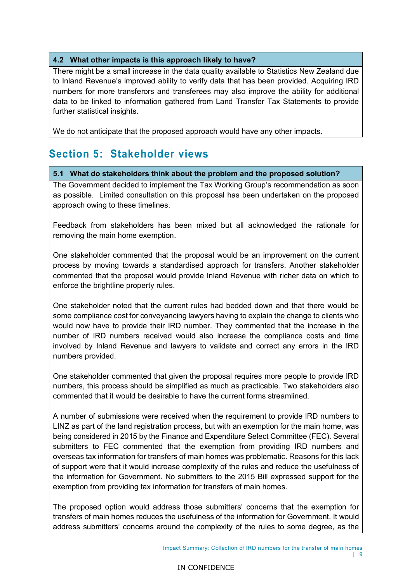#### **4.2 What other impacts is this approach likely to have?**

There might be a small increase in the data quality available to Statistics New Zealand due to Inland Revenue's improved ability to verify data that has been provided. Acquiring IRD numbers for more transferors and transferees may also improve the ability for additional data to be linked to information gathered from Land Transfer Tax Statements to provide further statistical insights.

We do not anticipate that the proposed approach would have any other impacts.

### **Section 5: Stakeholder views**

#### **5.1 What do stakeholders think about the problem and the proposed solution?**

The Government decided to implement the Tax Working Group's recommendation as soon as possible. Limited consultation on this proposal has been undertaken on the proposed approach owing to these timelines.

Feedback from stakeholders has been mixed but all acknowledged the rationale for removing the main home exemption.

One stakeholder commented that the proposal would be an improvement on the current process by moving towards a standardised approach for transfers. Another stakeholder commented that the proposal would provide Inland Revenue with richer data on which to enforce the brightline property rules.

One stakeholder noted that the current rules had bedded down and that there would be some compliance cost for conveyancing lawyers having to explain the change to clients who would now have to provide their IRD number. They commented that the increase in the number of IRD numbers received would also increase the compliance costs and time involved by Inland Revenue and lawyers to validate and correct any errors in the IRD numbers provided.

One stakeholder commented that given the proposal requires more people to provide IRD numbers, this process should be simplified as much as practicable. Two stakeholders also commented that it would be desirable to have the current forms streamlined.

A number of submissions were received when the requirement to provide IRD numbers to LINZ as part of the land registration process, but with an exemption for the main home, was being considered in 2015 by the Finance and Expenditure Select Committee (FEC). Several submitters to FEC commented that the exemption from providing IRD numbers and overseas tax information for transfers of main homes was problematic. Reasons for this lack of support were that it would increase complexity of the rules and reduce the usefulness of the information for Government. No submitters to the 2015 Bill expressed support for the exemption from providing tax information for transfers of main homes.

The proposed option would address those submitters' concerns that the exemption for transfers of main homes reduces the usefulness of the information for Government. It would address submitters' concerns around the complexity of the rules to some degree, as the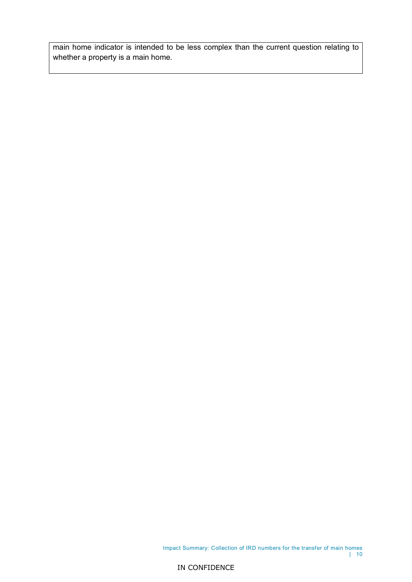main home indicator is intended to be less complex than the current question relating to whether a property is a main home.